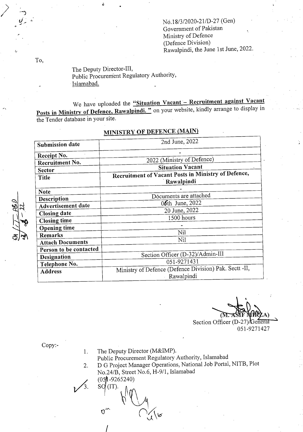## No.18/3/2020-21/D-27 (Gen) Government of Pakistan Ministry of Defence (Defence Division) Rawalpindi, the June 1st June, 2022.

The Deputy Director-III, Public Procurernent Regulatory Authority, Islamabad.

We have uploaded the "Situation Vacant - Recruitment against Vacant Posts in Ministry of Defence, Rawalpindi." on your website, kindly arrange to display in the Tender database in your site.

## MINISTRY OF DEFENCE (MAIN)

| 2nd June, 2022                                         |  |  |  |
|--------------------------------------------------------|--|--|--|
|                                                        |  |  |  |
|                                                        |  |  |  |
| 2022 (Ministry of Defence)                             |  |  |  |
| <b>Situation Vacant</b><br>к.                          |  |  |  |
| Recruitment of Vacant Posts in Ministry of Defence,    |  |  |  |
| Rawalpindi                                             |  |  |  |
|                                                        |  |  |  |
| Documents are attached                                 |  |  |  |
| $0$ <b>6</b> th June, 2022                             |  |  |  |
| 20 June, 2022                                          |  |  |  |
| 1500 hours                                             |  |  |  |
|                                                        |  |  |  |
| Nil                                                    |  |  |  |
| Nil                                                    |  |  |  |
|                                                        |  |  |  |
|                                                        |  |  |  |
| Section Officer (D-32)/Admin-III                       |  |  |  |
| 051-9271431                                            |  |  |  |
| Ministry of Defence (Defence Division) Pak. Sectt -II, |  |  |  |
| Rawalpindi                                             |  |  |  |
|                                                        |  |  |  |

(M. ASIF MIRZA)

Section Officer  $(D-27)$ General 051-9271427

Copy:-

- The Deputy Director (M&IMP).  $1.$
- Public Procurement Regulatory Authority, Islamabad

 $\check{\sigma}$ 

D G Project Manager Operations, National Job Portal, NITB, Plot 2. No.24/B, Street No.6, H-9/1, Islamabad

 $\mathcal{L}_{3}$ 

 $(05/1 - 9265240)$  $\mathrm{SO}(IT)$ .

To,